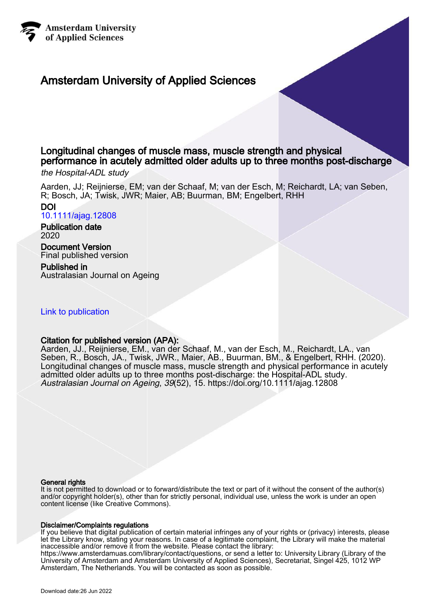

# Amsterdam University of Applied Sciences

## Longitudinal changes of muscle mass, muscle strength and physical performance in acutely admitted older adults up to three months post-discharge

the Hospital-ADL study

Aarden, JJ; Reijnierse, EM; van der Schaaf, M; van der Esch, M; Reichardt, LA; van Seben, R; Bosch, JA; Twisk, JWR; Maier, AB; Buurman, BM; Engelbert, RHH

DOI [10.1111/ajag.12808](https://doi.org/10.1111/ajag.12808)

Publication date 2020

Document Version Final published version

Published in Australasian Journal on Ageing

### [Link to publication](https://research.hva.nl/en/publications/9d28e70d-22e2-4882-8a65-6afea653aa40)

#### Citation for published version (APA):

Aarden, JJ., Reijnierse, EM., van der Schaaf, M., van der Esch, M., Reichardt, LA., van Seben, R., Bosch, JA., Twisk, JWR., Maier, AB., Buurman, BM., & Engelbert, RHH. (2020). Longitudinal changes of muscle mass, muscle strength and physical performance in acutely admitted older adults up to three months post-discharge: the Hospital-ADL study. Australasian Journal on Ageing, 39(52), 15. <https://doi.org/10.1111/ajag.12808>

#### General rights

It is not permitted to download or to forward/distribute the text or part of it without the consent of the author(s) and/or copyright holder(s), other than for strictly personal, individual use, unless the work is under an open content license (like Creative Commons).

#### Disclaimer/Complaints regulations

If you believe that digital publication of certain material infringes any of your rights or (privacy) interests, please let the Library know, stating your reasons. In case of a legitimate complaint, the Library will make the material inaccessible and/or remove it from the website. Please contact the library: https://www.amsterdamuas.com/library/contact/questions, or send a letter to: University Library (Library of the University of Amsterdam and Amsterdam University of Applied Sciences), Secretariat, Singel 425, 1012 WP Amsterdam, The Netherlands. You will be contacted as soon as possible.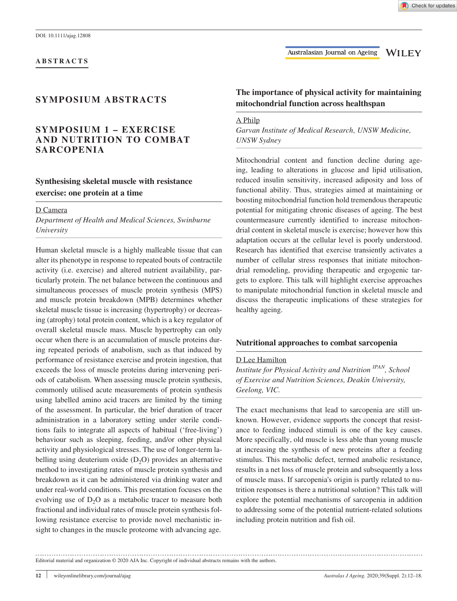#### **ABSTRACTS**

#### **WILEY** Australasian Journal on Ageing

#### **SYMPOSIUM ABSTRACTS**

#### **SYMPOSIUM 1 – EXERCISE AND NUTRITION TO COMBAT SARCOPENIA**

#### **Synthesising skeletal muscle with resistance exercise: one protein at a time**

#### D Camera

*Department of Health and Medical Sciences, Swinburne University*

Human skeletal muscle is a highly malleable tissue that can alter its phenotype in response to repeated bouts of contractile activity (i.e. exercise) and altered nutrient availability, particularly protein. The net balance between the continuous and simultaneous processes of muscle protein synthesis (MPS) and muscle protein breakdown (MPB) determines whether skeletal muscle tissue is increasing (hypertrophy) or decreasing (atrophy) total protein content, which is a key regulator of overall skeletal muscle mass. Muscle hypertrophy can only occur when there is an accumulation of muscle proteins during repeated periods of anabolism, such as that induced by performance of resistance exercise and protein ingestion, that exceeds the loss of muscle proteins during intervening periods of catabolism. When assessing muscle protein synthesis, commonly utilised acute measurements of protein synthesis using labelled amino acid tracers are limited by the timing of the assessment. In particular, the brief duration of tracer administration in a laboratory setting under sterile conditions fails to integrate all aspects of habitual ('free-living') behaviour such as sleeping, feeding, and/or other physical activity and physiological stresses. The use of longer-term labelling using deuterium oxide  $(D<sub>2</sub>O)$  provides an alternative method to investigating rates of muscle protein synthesis and breakdown as it can be administered via drinking water and under real-world conditions. This presentation focuses on the evolving use of  $D_2O$  as a metabolic tracer to measure both fractional and individual rates of muscle protein synthesis following resistance exercise to provide novel mechanistic insight to changes in the muscle proteome with advancing age.

#### **The importance of physical activity for maintaining mitochondrial function across healthspan**

#### A Philp

*Garvan Institute of Medical Research, UNSW Medicine, UNSW Sydney*

Mitochondrial content and function decline during ageing, leading to alterations in glucose and lipid utilisation, reduced insulin sensitivity, increased adiposity and loss of functional ability. Thus, strategies aimed at maintaining or boosting mitochondrial function hold tremendous therapeutic potential for mitigating chronic diseases of ageing. The best countermeasure currently identified to increase mitochondrial content in skeletal muscle is exercise; however how this adaptation occurs at the cellular level is poorly understood. Research has identified that exercise transiently activates a number of cellular stress responses that initiate mitochondrial remodeling, providing therapeutic and ergogenic targets to explore. This talk will highlight exercise approaches to manipulate mitochondrial function in skeletal muscle and discuss the therapeutic implications of these strategies for healthy ageing.

#### **Nutritional approaches to combat sarcopenia**

#### D Lee Hamilton

*Institute for Physical Activity and Nutrition IPAN, School of Exercise and Nutrition Sciences, Deakin University, Geelong, VIC.*

The exact mechanisms that lead to sarcopenia are still unknown. However, evidence supports the concept that resistance to feeding induced stimuli is one of the key causes. More specifically, old muscle is less able than young muscle at increasing the synthesis of new proteins after a feeding stimulus. This metabolic defect, termed anabolic resistance, results in a net loss of muscle protein and subsequently a loss of muscle mass. If sarcopenia's origin is partly related to nutrition responses is there a nutritional solution? This talk will explore the potential mechanisms of sarcopenia in addition to addressing some of the potential nutrient-related solutions including protein nutrition and fish oil.

Editorial material and organization © 2020 AJA Inc. Copyright of individual abstracts remains with the authors.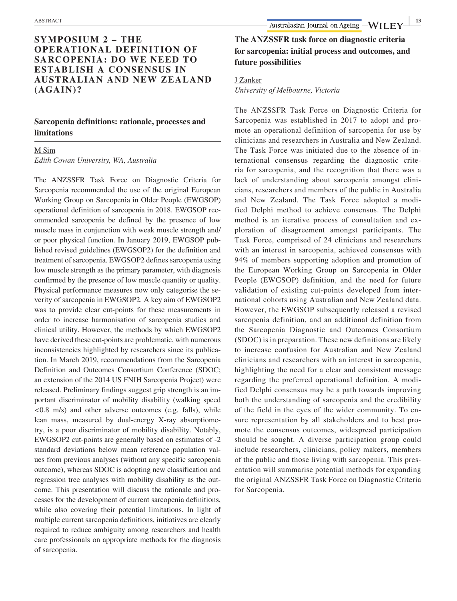#### **SYMPOSIUM 2 – THE OPERATIONAL DEFINITION OF SARCOPENIA: DO WE NEED TO ESTABLISH A CONSENSUS IN AUSTRALIAN AND NEW ZEALAND (AGAIN)?**

## **Sarcopenia definitions: rationale, processes and limitations**

## M Sim *Edith Cowan University, WA, Australia*

The ANZSSFR Task Force on Diagnostic Criteria for Sarcopenia recommended the use of the original European Working Group on Sarcopenia in Older People (EWGSOP) operational definition of sarcopenia in 2018. EWGSOP recommended sarcopenia be defined by the presence of low muscle mass in conjunction with weak muscle strength and/ or poor physical function. In January 2019, EWGSOP published revised guidelines (EWGSOP2) for the definition and treatment of sarcopenia. EWGSOP2 defines sarcopenia using low muscle strength as the primary parameter, with diagnosis confirmed by the presence of low muscle quantity or quality. Physical performance measures now only categorise the severity of sarcopenia in EWGSOP2. A key aim of EWGSOP2 was to provide clear cut-points for these measurements in order to increase harmonisation of sarcopenia studies and clinical utility. However, the methods by which EWGSOP2 have derived these cut-points are problematic, with numerous inconsistencies highlighted by researchers since its publication. In March 2019, recommendations from the Sarcopenia Definition and Outcomes Consortium Conference (SDOC; an extension of the 2014 US FNIH Sarcopenia Project) were released. Preliminary findings suggest grip strength is an important discriminator of mobility disability (walking speed  $\langle 0.8 \text{ m/s} \rangle$  and other adverse outcomes (e.g. falls), while lean mass, measured by dual-energy X-ray absorptiometry, is a poor discriminator of mobility disability. Notably, EWGSOP2 cut-points are generally based on estimates of -2 standard deviations below mean reference population values from previous analyses (without any specific sarcopenia outcome), whereas SDOC is adopting new classification and regression tree analyses with mobility disability as the outcome. This presentation will discuss the rationale and processes for the development of current sarcopenia definitions, while also covering their potential limitations. In light of multiple current sarcopenia definitions, initiatives are clearly required to reduce ambiguity among researchers and health care professionals on appropriate methods for the diagnosis of sarcopenia.

ABSTRACT **13**<br>Australasian Journal on Ageing  $-WII$  FY  $\frac{13}{4}$ 

## **The ANZSSFR task force on diagnostic criteria for sarcopenia: initial process and outcomes, and future possibilities**

#### J Zanker

*University of Melbourne, Victoria*

The ANZSSFR Task Force on Diagnostic Criteria for Sarcopenia was established in 2017 to adopt and promote an operational definition of sarcopenia for use by clinicians and researchers in Australia and New Zealand. The Task Force was initiated due to the absence of international consensus regarding the diagnostic criteria for sarcopenia, and the recognition that there was a lack of understanding about sarcopenia amongst clinicians, researchers and members of the public in Australia and New Zealand. The Task Force adopted a modified Delphi method to achieve consensus. The Delphi method is an iterative process of consultation and exploration of disagreement amongst participants. The Task Force, comprised of 24 clinicians and researchers with an interest in sarcopenia, achieved consensus with 94% of members supporting adoption and promotion of the European Working Group on Sarcopenia in Older People (EWGSOP) definition, and the need for future validation of existing cut-points developed from international cohorts using Australian and New Zealand data. However, the EWGSOP subsequently released a revised sarcopenia definition, and an additional definition from the Sarcopenia Diagnostic and Outcomes Consortium (SDOC) is in preparation. These new definitions are likely to increase confusion for Australian and New Zealand clinicians and researchers with an interest in sarcopenia, highlighting the need for a clear and consistent message regarding the preferred operational definition. A modified Delphi consensus may be a path towards improving both the understanding of sarcopenia and the credibility of the field in the eyes of the wider community. To ensure representation by all stakeholders and to best promote the consensus outcomes, widespread participation should be sought. A diverse participation group could include researchers, clinicians, policy makers, members of the public and those living with sarcopenia. This presentation will summarise potential methods for expanding the original ANZSSFR Task Force on Diagnostic Criteria for Sarcopenia.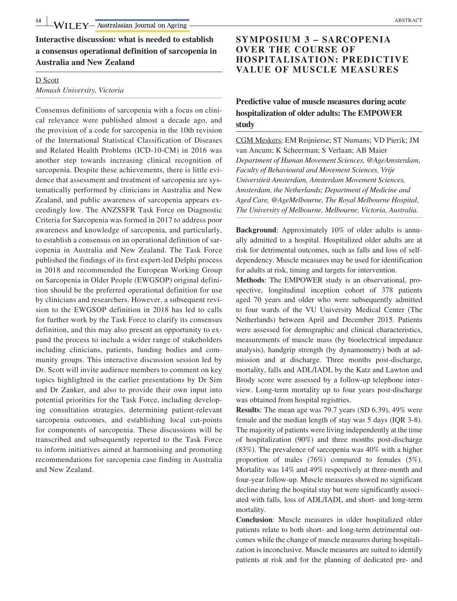**14 14 CONSTRACT 14 ABSTRACT 14 ABSTRACT 14 ABSTRACT 14 ABSTRACT** 

**Interactive discussion: what is needed to establish a consensus operational definition of sarcopenia in Australia and New Zealand**

## D Scott

*Monash University, Victoria*

Consensus definitions of sarcopenia with a focus on clinical relevance were published almost a decade ago, and the provision of a code for sarcopenia in the 10th revision of the International Statistical Classification of Diseases and Related Health Problems (ICD-10-CM) in 2016 was another step towards increasing clinical recognition of sarcopenia. Despite these achievements, there is little evidence that assessment and treatment of sarcopenia are systematically performed by clinicians in Australia and New Zealand, and public awareness of sarcopenia appears exceedingly low. The ANZSSFR Task Force on Diagnostic Criteria for Sarcopenia was formed in 2017 to address poor awareness and knowledge of sarcopenia, and particularly, to establish a consensus on an operational definition of sarcopenia in Australia and New Zealand. The Task Force published the findings of its first expert-led Delphi process in 2018 and recommended the European Working Group on Sarcopenia in Older People (EWGSOP) original definition should be the preferred operational definition for use by clinicians and researchers. However, a subsequent revision to the EWGSOP definition in 2018 has led to calls for further work by the Task Force to clarify its consensus definition, and this may also present an opportunity to expand the process to include a wider range of stakeholders including clinicians, patients, funding bodies and community groups. This interactive discussion session led by Dr. Scott will invite audience members to comment on key topics highlighted in the earlier presentations by Dr Sim and Dr Zanker, and also to provide their own input into potential priorities for the Task Force, including developing consultation strategies, determining patient-relevant sarcopenia outcomes, and establishing local cut-points for components of sarcopenia. These discussions will be transcribed and subsequently reported to the Task Force to inform initiatives aimed at harmonising and promoting recommendations for sarcopenia case finding in Australia and New Zealand.

#### **SYMPOSIUM 3 – SARCOPENIA OVER THE COURSE OF HOSPITALISATION: PREDICTIVE VALUE OF MUSCLE MEASURES**

## **Predictive value of muscle measures during acute hospitalization of older adults: The EMPOWER study**

CGM Meskers; EM Reijnierse; ST Numans; VD Pierik; JM van Ancum; K Scheerman; S Verlaan; AB Maier *Department of Human Movement Sciences, @AgeAmsterdam, Faculty of Behavioural and Movement Sciences, Vrije Universiteit Amsterdam, Amsterdam Movement Sciences, Amsterdam, the Netherlands; Department of Medicine and Aged Care, @AgeMelbourne, The Royal Melbourne Hospital, The University of Melbourne, Melbourne, Victoria, Australia.*

**Background**: Approximately 10% of older adults is annually admitted to a hospital. Hospitalized older adults are at risk for detrimental outcomes, such as falls and loss of selfdependency. Muscle measures may be used for identification for adults at risk, timing and targets for intervention.

**Methods**: The EMPOWER study is an observational, prospective, longitudinal inception cohort of 378 patients aged 70 years and older who were subsequently admitted to four wards of the VU University Medical Center (The Netherlands) between April and December 2015. Patients were assessed for demographic and clinical characteristics, measurements of muscle mass (by bioelectrical impedance analysis), handgrip strength (by dynamometry) both at admission and at discharge. Three months post-discharge, mortality, falls and ADL/IADL by the Katz and Lawton and Brody score were assessed by a follow-up telephone interview. Long-term mortality up to four years post-discharge was obtained from hospital registries.

**Results**: The mean age was 79.7 years (SD 6.39), 49% were female and the median length of stay was 5 days (IQR 3-8). The majority of patients were living independently at the time of hospitalization (90%) and three months post-discharge (83%). The prevalence of sarcopenia was 40% with a higher proportion of males (76%) compared to females (5%). Mortality was 14% and 49% respectively at three-month and four-year follow-up. Muscle measures showed no significant decline during the hospital stay but were significantly associated with falls, loss of ADL/IADL and short- and long-term mortality.

**Conclusion**: Muscle measures in older hospitalized older patients relate to both short- and long-term detrimental outcomes while the change of muscle measures during hospitalization is inconclusive. Muscle measures are suited to identify patients at risk and for the planning of dedicated pre- and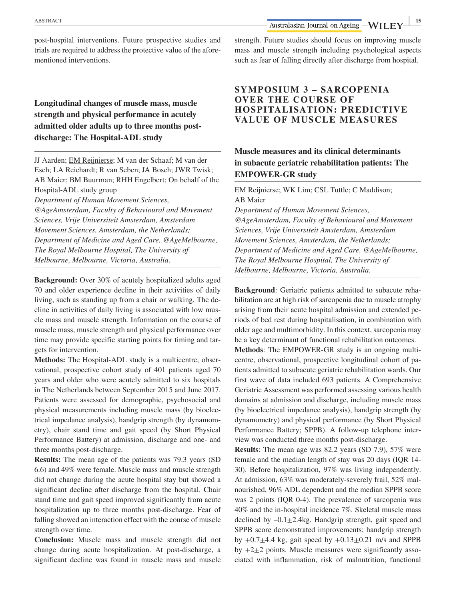post-hospital interventions. Future prospective studies and trials are required to address the protective value of the aforementioned interventions.

## **Longitudinal changes of muscle mass, muscle strength and physical performance in acutely admitted older adults up to three months postdischarge: The Hospital-ADL study**

JJ Aarden; EM Reijnierse; M van der Schaaf; M van der Esch; LA Reichardt; R van Seben; JA Bosch; JWR Twisk; AB Maier; BM Buurman; RHH Engelbert; On behalf of the Hospital-ADL study group *Department of Human Movement Sciences, @AgeAmsterdam, Faculty of Behavioural and Movement Sciences, Vrije Universiteit Amsterdam, Amsterdam Movement Sciences, Amsterdam, the Netherlands; Department of Medicine and Aged Care, @AgeMelbourne, The Royal Melbourne Hospital, The University of Melbourne, Melbourne, Victoria, Australia.*

**Background:** Over 30% of acutely hospitalized adults aged 70 and older experience decline in their activities of daily living, such as standing up from a chair or walking. The decline in activities of daily living is associated with low muscle mass and muscle strength. Information on the course of muscle mass, muscle strength and physical performance over time may provide specific starting points for timing and targets for intervention.

**Methods:** The Hospital-ADL study is a multicentre, observational, prospective cohort study of 401 patients aged 70 years and older who were acutely admitted to six hospitals in The Netherlands between September 2015 and June 2017. Patients were assessed for demographic, psychosocial and physical measurements including muscle mass (by bioelectrical impedance analysis), handgrip strength (by dynamometry), chair stand time and gait speed (by Short Physical Performance Battery) at admission, discharge and one- and three months post-discharge.

**Results:** The mean age of the patients was 79.3 years (SD 6.6) and 49% were female. Muscle mass and muscle strength did not change during the acute hospital stay but showed a significant decline after discharge from the hospital. Chair stand time and gait speed improved significantly from acute hospitalization up to three months post-discharge. Fear of falling showed an interaction effect with the course of muscle strength over time.

**Conclusion:** Muscle mass and muscle strength did not change during acute hospitalization. At post-discharge, a significant decline was found in muscle mass and muscle

strength. Future studies should focus on improving muscle mass and muscle strength including psychological aspects such as fear of falling directly after discharge from hospital.

#### **SYMPOSIUM 3 – SARCOPENIA OVER THE COURSE OF HOSPITALISATION: PREDICTIVE VALUE OF MUSCLE MEASURES**

## **Muscle measures and its clinical determinants in subacute geriatric rehabilitation patients: The EMPOWER-GR study**

EM Reijnierse; WK Lim; CSL Tuttle; C Maddison; AB Maier

*Department of Human Movement Sciences, @AgeAmsterdam, Faculty of Behavioural and Movement Sciences, Vrije Universiteit Amsterdam, Amsterdam Movement Sciences, Amsterdam, the Netherlands; Department of Medicine and Aged Care, @AgeMelbourne, The Royal Melbourne Hospital, The University of Melbourne, Melbourne, Victoria, Australia.*

**Background**: Geriatric patients admitted to subacute rehabilitation are at high risk of sarcopenia due to muscle atrophy arising from their acute hospital admission and extended periods of bed rest during hospitalisation, in combination with older age and multimorbidity. In this context, sarcopenia may be a key determinant of functional rehabilitation outcomes.

**Methods**: The EMPOWER-GR study is an ongoing multicentre, observational, prospective longitudinal cohort of patients admitted to subacute geriatric rehabilitation wards. Our first wave of data included 693 patients. A Comprehensive Geriatric Assessment was performed assessing various health domains at admission and discharge, including muscle mass (by bioelectrical impedance analysis), handgrip strength (by dynamometry) and physical performance (by Short Physical Performance Battery; SPPB). A follow-up telephone interview was conducted three months post-discharge.

**Results**: The mean age was 82.2 years (SD 7.9), 57% were female and the median length of stay was 20 days (IQR 14- 30). Before hospitalization, 97% was living independently. At admission, 63% was moderately-severely frail, 52% malnourished, 96% ADL dependent and the median SPPB score was 2 points (IQR 0-4). The prevalence of sarcopenia was 40% and the in-hospital incidence 7%. Skeletal muscle mass declined by  $-0.1 \pm 2.4$ kg. Handgrip strength, gait speed and SPPB score demonstrated improvements; handgrip strength by  $+0.7\pm4.4$  kg, gait speed by  $+0.13\pm0.21$  m/s and SPPB by  $+2\pm 2$  points. Muscle measures were significantly associated with inflammation, risk of malnutrition, functional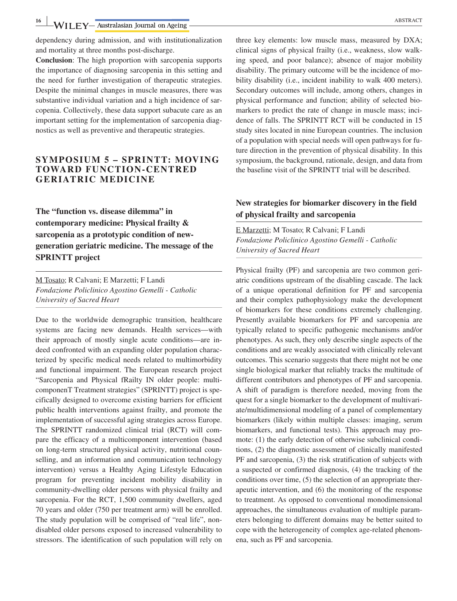**16 abstract 16 a ABSTRACT 16 ABSTRACT 16 ABSTRACT 16 ABSTRACT** 

dependency during admission, and with institutionalization and mortality at three months post-discharge.

**Conclusion**: The high proportion with sarcopenia supports the importance of diagnosing sarcopenia in this setting and the need for further investigation of therapeutic strategies. Despite the minimal changes in muscle measures, there was substantive individual variation and a high incidence of sarcopenia. Collectively, these data support subacute care as an important setting for the implementation of sarcopenia diagnostics as well as preventive and therapeutic strategies.

#### **SYMPOSIUM 5 – SPRINTT: MOVING TOWARD FUNCTION-CENTRED GERIATRIC MEDICINE**

**The "function vs. disease dilemma" in contemporary medicine: Physical frailty & sarcopenia as a prototypic condition of newgeneration geriatric medicine. The message of the SPRINTT project**

M Tosato; R Calvani; E Marzetti; F Landi *Fondazione Policlinico Agostino Gemelli - Catholic University of Sacred Heart*

Due to the worldwide demographic transition, healthcare systems are facing new demands. Health services—with their approach of mostly single acute conditions—are indeed confronted with an expanding older population characterized by specific medical needs related to multimorbidity and functional impairment. The European research project "Sarcopenia and Physical fRailty IN older people: multicomponenT Treatment strategies" (SPRINTT) project is specifically designed to overcome existing barriers for efficient public health interventions against frailty, and promote the implementation of successful aging strategies across Europe. The SPRINTT randomized clinical trial (RCT) will compare the efficacy of a multicomponent intervention (based on long-term structured physical activity, nutritional counselling, and an information and communication technology intervention) versus a Healthy Aging Lifestyle Education program for preventing incident mobility disability in community-dwelling older persons with physical frailty and sarcopenia. For the RCT, 1,500 community dwellers, aged 70 years and older (750 per treatment arm) will be enrolled. The study population will be comprised of "real life", nondisabled older persons exposed to increased vulnerability to stressors. The identification of such population will rely on three key elements: low muscle mass, measured by DXA; clinical signs of physical frailty (i.e., weakness, slow walking speed, and poor balance); absence of major mobility disability. The primary outcome will be the incidence of mobility disability (i.e., incident inability to walk 400 meters). Secondary outcomes will include, among others, changes in physical performance and function; ability of selected biomarkers to predict the rate of change in muscle mass; incidence of falls. The SPRINTT RCT will be conducted in 15 study sites located in nine European countries. The inclusion of a population with special needs will open pathways for future direction in the prevention of physical disability. In this symposium, the background, rationale, design, and data from the baseline visit of the SPRINTT trial will be described.

#### **New strategies for biomarker discovery in the field of physical frailty and sarcopenia**

E Marzetti; M Tosato; R Calvani; F Landi *Fondazione Policlinico Agostino Gemelli - Catholic University of Sacred Heart*

Physical frailty (PF) and sarcopenia are two common geriatric conditions upstream of the disabling cascade. The lack of a unique operational definition for PF and sarcopenia and their complex pathophysiology make the development of biomarkers for these conditions extremely challenging. Presently available biomarkers for PF and sarcopenia are typically related to specific pathogenic mechanisms and/or phenotypes. As such, they only describe single aspects of the conditions and are weakly associated with clinically relevant outcomes. This scenario suggests that there might not be one single biological marker that reliably tracks the multitude of different contributors and phenotypes of PF and sarcopenia. A shift of paradigm is therefore needed, moving from the quest for a single biomarker to the development of multivariate/multidimensional modeling of a panel of complementary biomarkers (likely within multiple classes: imaging, serum biomarkers, and functional tests). This approach may promote: (1) the early detection of otherwise subclinical conditions, (2) the diagnostic assessment of clinically manifested PF and sarcopenia, (3) the risk stratification of subjects with a suspected or confirmed diagnosis, (4) the tracking of the conditions over time, (5) the selection of an appropriate therapeutic intervention, and (6) the monitoring of the response to treatment. As opposed to conventional monodimensional approaches, the simultaneous evaluation of multiple parameters belonging to different domains may be better suited to cope with the heterogeneity of complex age-related phenomena, such as PF and sarcopenia.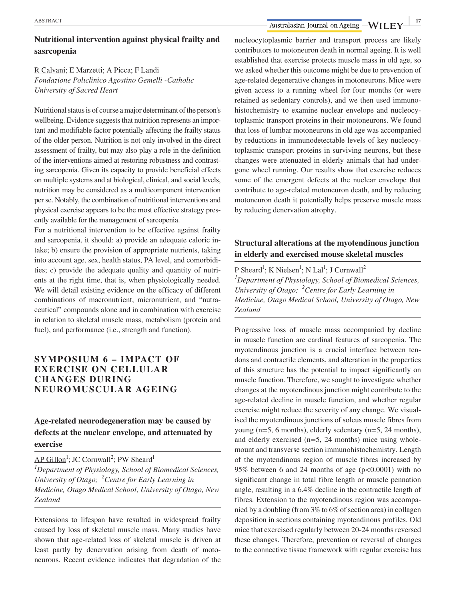#### **Nutritional intervention against physical frailty and sasrcopenia**

R Calvani; E Marzetti; A Picca; F Landi *Fondazione Policlinico Agostino Gemelli -Catholic University of Sacred Heart*

Nutritional status is of course a major determinant of the person's wellbeing. Evidence suggests that nutrition represents an important and modifiable factor potentially affecting the frailty status of the older person. Nutrition is not only involved in the direct assessment of frailty, but may also play a role in the definition of the interventions aimed at restoring robustness and contrasting sarcopenia. Given its capacity to provide beneficial effects on multiple systems and at biological, clinical, and social levels, nutrition may be considered as a multicomponent intervention per se. Notably, the combination of nutritional interventions and physical exercise appears to be the most effective strategy presently available for the management of sarcopenia.

For a nutritional intervention to be effective against frailty and sarcopenia, it should: a) provide an adequate caloric intake; b) ensure the provision of appropriate nutrients, taking into account age, sex, health status, PA level, and comorbidities; c) provide the adequate quality and quantity of nutrients at the right time, that is, when physiologically needed. We will detail existing evidence on the efficacy of different combinations of macronutrient, micronutrient, and "nutraceutical" compounds alone and in combination with exercise in relation to skeletal muscle mass, metabolism (protein and fuel), and performance (i.e., strength and function).

#### **SYMPOSIUM 6 – IMPACT OF EXERCISE ON CELLULAR CHANGES DURING NEUROMUSCULAR AGEING**

#### **Age-related neurodegeneration may be caused by defects at the nuclear envelope, and attenuated by exercise**

 $AP$  Gillon<sup>1</sup>; JC Cornwall<sup>2</sup>; PW Sheard<sup>1</sup> *1 Department of Physiology, School of Biomedical Sciences, University of Otago; <sup>2</sup> Centre for Early Learning in Medicine, Otago Medical School, University of Otago, New Zealand*

Extensions to lifespan have resulted in widespread frailty caused by loss of skeletal muscle mass. Many studies have shown that age-related loss of skeletal muscle is driven at least partly by denervation arising from death of motoneurons. Recent evidence indicates that degradation of the

nucleocytoplasmic barrier and transport process are likely contributors to motoneuron death in normal ageing. It is well established that exercise protects muscle mass in old age, so we asked whether this outcome might be due to prevention of age-related degenerative changes in motoneurons. Mice were given access to a running wheel for four months (or were retained as sedentary controls), and we then used immunohistochemistry to examine nuclear envelope and nucleocytoplasmic transport proteins in their motoneurons. We found that loss of lumbar motoneurons in old age was accompanied by reductions in immunodetectable levels of key nucleocytoplasmic transport proteins in surviving neurons, but these changes were attenuated in elderly animals that had undergone wheel running. Our results show that exercise reduces some of the emergent defects at the nuclear envelope that contribute to age-related motoneuron death, and by reducing motoneuron death it potentially helps preserve muscle mass by reducing denervation atrophy.

## **Structural alterations at the myotendinous junction in elderly and exercised mouse skeletal muscles**

P Sheard<sup>1</sup>; K Nielsen<sup>1</sup>; N Lal<sup>1</sup>; J Cornwall<sup>2</sup> *1 Department of Physiology, School of Biomedical Sciences, University of Otago; <sup>2</sup> Centre for Early Learning in Medicine, Otago Medical School, University of Otago, New Zealand*

Progressive loss of muscle mass accompanied by decline in muscle function are cardinal features of sarcopenia. The myotendinous junction is a crucial interface between tendons and contractile elements, and alteration in the properties of this structure has the potential to impact significantly on muscle function. Therefore, we sought to investigate whether changes at the myotendinous junction might contribute to the age-related decline in muscle function, and whether regular exercise might reduce the severity of any change. We visualised the myotendinous junctions of soleus muscle fibres from young (n=5, 6 months), elderly sedentary (n=5, 24 months), and elderly exercised (n=5, 24 months) mice using wholemount and transverse section immunohistochemistry. Length of the myotendinous region of muscle fibres increased by 95% between 6 and 24 months of age  $(p<0.0001)$  with no significant change in total fibre length or muscle pennation angle, resulting in a 6.4% decline in the contractile length of fibres. Extension to the myotendinous region was accompanied by a doubling (from 3% to 6% of section area) in collagen deposition in sections containing myotendinous profiles. Old mice that exercised regularly between 20-24 months reversed these changes. Therefore, prevention or reversal of changes to the connective tissue framework with regular exercise has